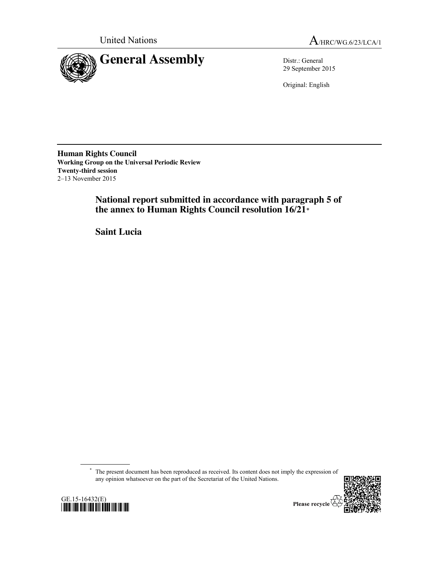



29 September 2015

Original: English

**Human Rights Council Working Group on the Universal Periodic Review Twenty-third session** 2–13 November 2015

> **National report submitted in accordance with paragraph 5 of the annex to Human Rights Council resolution 16/21**\*

**Saint Lucia**

\* The present document has been reproduced as received. Its content does not imply the expression of any opinion whatsoever on the part of the Secretariat of the United Nations.



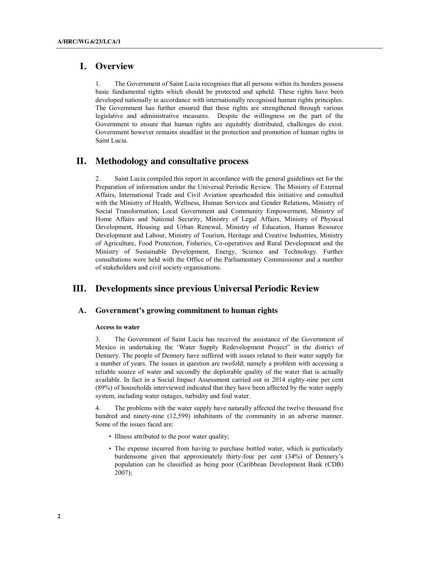# **I. Overview**

1. The Government of Saint Lucia recognises that all persons within its borders possess basic fundamental rights which should be protected and upheld. These rights have been developed nationally in accordance with internationally recognised human rights principles. The Government has further ensured that these rights are strengthened through various legislative and administrative measures. Despite the willingness on the part of the Government to ensure that human rights are equitably distributed, challenges do exist. Government however remains steadfast in the protection and promotion of human rights in Saint Lucia.

## **II. Methodology and consultative process**

2. Saint Lucia compiled this report in accordance with the general guidelines set for the Preparation of information under the Universal Periodic Review. The Ministry of External Affairs, International Trade and Civil Aviation spearheaded this initiative and consulted with the Ministry of Health, Wellness, Human Services and Gender Relations, Ministry of Social Transformation, Local Government and Community Empowerment, Ministry of Home Affairs and National Security, Ministry of Legal Affairs, Ministry of Physical Development, Housing and Urban Renewal, Ministry of Education, Human Resource Development and Labour, Ministry of Tourism, Heritage and Creative Industries, Ministry of Agriculture, Food Protection, Fisheries, Co-operatives and Rural Development and the Ministry of Sustainable Development, Energy, Science and Technology. Further consultations were held with the Office of the Parliamentary Commissioner and a number of stakeholders and civil society organisations.

## **III. Developments since previous Universal Periodic Review**

### **A. Government's growing commitment to human rights**

#### **Access to water**

3. The Government of Saint Lucia has received the assistance of the Government of Mexico in undertaking the 'Water Supply Redevelopment Project" in the district of Dennery. The people of Dennery have suffered with issues related to their water supply for a number of years. The issues in question are twofold; namely a problem with accessing a reliable source of water and secondly the deplorable quality of the water that is actually available. In fact in a Social Impact Assessment carried out in 2014 eighty-nine per cent (89%) of households interviewed indicated that they have been affected by the water supply system, including water outages, turbidity and foul water.

4. The problems with the water supply have naturally affected the twelve thousand five hundred and ninety-nine (12,599) inhabitants of the community in an adverse manner. Some of the issues faced are:

- Illness attributed to the poor water quality;
- The expense incurred from having to purchase bottled water, which is particularly burdensome given that approximately thirty-four per cent (34%) of Dennery's population can be classified as being poor (Caribbean Development Bank (CDB) 2007);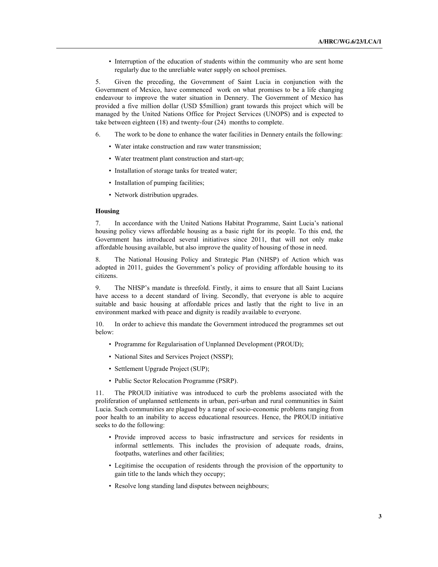• Interruption of the education of students within the community who are sent home regularly due to the unreliable water supply on school premises.

5. Given the preceding, the Government of Saint Lucia in conjunction with the Government of Mexico, have commenced work on what promises to be a life changing endeavour to improve the water situation in Dennery. The Government of Mexico has provided a five million dollar (USD \$5million) grant towards this project which will be managed by the United Nations Office for Project Services (UNOPS) and is expected to take between eighteen (18) and twenty-four (24) months to complete.

- 6. The work to be done to enhance the water facilities in Dennery entails the following:
	- Water intake construction and raw water transmission;
	- Water treatment plant construction and start-up;
	- Installation of storage tanks for treated water;
	- Installation of pumping facilities;
	- Network distribution upgrades.

#### **Housing**

7. In accordance with the United Nations Habitat Programme, Saint Lucia's national housing policy views affordable housing as a basic right for its people. To this end, the Government has introduced several initiatives since 2011, that will not only make affordable housing available, but also improve the quality of housing of those in need.

8. The National Housing Policy and Strategic Plan (NHSP) of Action which was adopted in 2011, guides the Government's policy of providing affordable housing to its citizens.

9. The NHSP's mandate is threefold. Firstly, it aims to ensure that all Saint Lucians have access to a decent standard of living. Secondly, that everyone is able to acquire suitable and basic housing at affordable prices and lastly that the right to live in an environment marked with peace and dignity is readily available to everyone.

10. In order to achieve this mandate the Government introduced the programmes set out below:

- Programme for Regularisation of Unplanned Development (PROUD);
- National Sites and Services Project (NSSP);
- Settlement Upgrade Project (SUP);
- Public Sector Relocation Programme (PSRP).

11. The PROUD initiative was introduced to curb the problems associated with the proliferation of unplanned settlements in urban, peri-urban and rural communities in Saint Lucia. Such communities are plagued by a range of socio-economic problems ranging from poor health to an inability to access educational resources. Hence, the PROUD initiative seeks to do the following:

- Provide improved access to basic infrastructure and services for residents in informal settlements. This includes the provision of adequate roads, drains, footpaths, waterlines and other facilities;
- Legitimise the occupation of residents through the provision of the opportunity to gain title to the lands which they occupy;
- Resolve long standing land disputes between neighbours;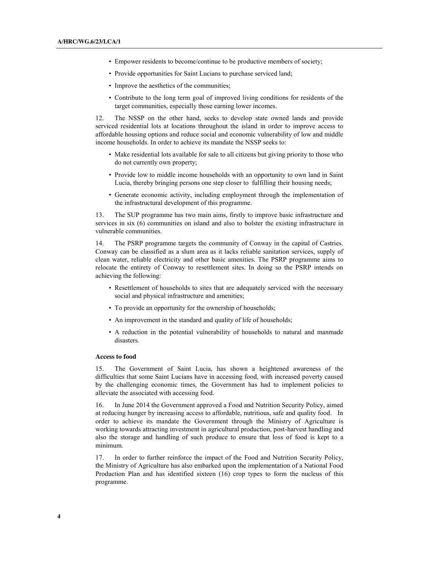- Empower residents to become/continue to be productive members of society;
- Provide opportunities for Saint Lucians to purchase serviced land;
- Improve the aesthetics of the communities;
- Contribute to the long term goal of improved living conditions for residents of the target communities, especially those earning lower incomes.

12. The NSSP on the other hand, seeks to develop state owned lands and provide serviced residential lots at locations throughout the island in order to improve access to affordable housing options and reduce social and economic vulnerability of low and middle income households. In order to achieve its mandate the NSSP seeks to:

- Make residential lots available for sale to all citizens but giving priority to those who do not currently own property;
- Provide low to middle income households with an opportunity to own land in Saint Lucia, thereby bringing persons one step closer to fulfilling their housing needs;
- Generate economic activity, including employment through the implementation of the infrastructural development of this programme.

13. The SUP programme has two main aims, firstly to improve basic infrastructure and services in six (6) communities on island and also to bolster the existing infrastructure in vulnerable communities.

14. The PSRP programme targets the community of Conway in the capital of Castries. Conway can be classified as a slum area as it lacks reliable sanitation services, supply of clean water, reliable electricity and other basic amenities. The PSRP programme aims to relocate the entirety of Conway to resettlement sites. In doing so the PSRP intends on achieving the following:

- Resettlement of households to sites that are adequately serviced with the necessary social and physical infrastructure and amenities;
- To provide an opportunity for the ownership of households;
- An improvement in the standard and quality of life of households;
- A reduction in the potential vulnerability of households to natural and manmade disasters.

#### **Access to food**

15. The Government of Saint Lucia, has shown a heightened awareness of the difficulties that some Saint Lucians have in accessing food, with increased poverty caused by the challenging economic times, the Government has had to implement policies to alleviate the associated with accessing food.

16. In June 2014 the Government approved a Food and Nutrition Security Policy, aimed at reducing hunger by increasing access to affordable, nutritious, safe and quality food. In order to achieve its mandate the Government through the Ministry of Agriculture is working towards attracting investment in agricultural production, post-harvest handling and also the storage and handling of such produce to ensure that loss of food is kept to a minimum.

17. In order to further reinforce the impact of the Food and Nutrition Security Policy, the Ministry of Agriculture has also embarked upon the implementation of a National Food Production Plan and has identified sixteen (16) crop types to form the nucleus of this programme.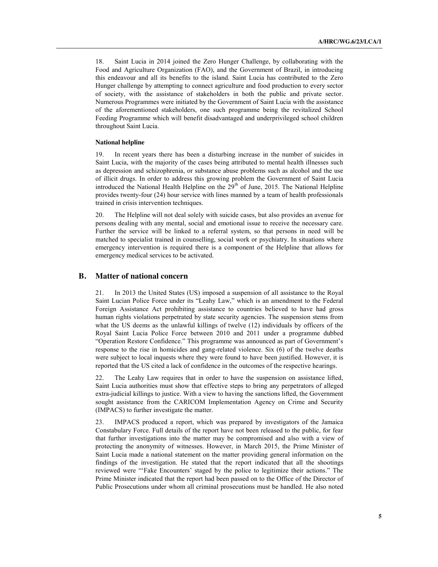18. Saint Lucia in 2014 joined the Zero Hunger Challenge, by collaborating with the Food and Agriculture Organization (FAO), and the Government of Brazil, in introducing this endeavour and all its benefits to the island. Saint Lucia has contributed to the Zero Hunger challenge by attempting to connect agriculture and food production to every sector of society, with the assistance of stakeholders in both the public and private sector. Numerous Programmes were initiated by the Government of Saint Lucia with the assistance of the aforementioned stakeholders, one such programme being the revitalized School Feeding Programme which will benefit disadvantaged and underprivileged school children throughout Saint Lucia.

#### **National helpline**

19. In recent years there has been a disturbing increase in the number of suicides in Saint Lucia, with the majority of the cases being attributed to mental health illnesses such as depression and schizophrenia, or substance abuse problems such as alcohol and the use of illicit drugs. In order to address this growing problem the Government of Saint Lucia introduced the National Health Helpline on the  $29<sup>th</sup>$  of June, 2015. The National Helpline provides twenty-four (24) hour service with lines manned by a team of health professionals trained in crisis intervention techniques.

20. The Helpline will not deal solely with suicide cases, but also provides an avenue for persons dealing with any mental, social and emotional issue to receive the necessary care. Further the service will be linked to a referral system, so that persons in need will be matched to specialist trained in counselling, social work or psychiatry. In situations where emergency intervention is required there is a component of the Helpline that allows for emergency medical services to be activated.

### **B. Matter of national concern**

21. In 2013 the United States (US) imposed a suspension of all assistance to the Royal Saint Lucian Police Force under its "Leahy Law," which is an amendment to the Federal Foreign Assistance Act prohibiting assistance to countries believed to have had gross human rights violations perpetrated by state security agencies. The suspension stems from what the US deems as the unlawful killings of twelve (12) individuals by officers of the Royal Saint Lucia Police Force between 2010 and 2011 under a programme dubbed "Operation Restore Confidence." This programme was announced as part of Government's response to the rise in homicides and gang-related violence. Six (6) of the twelve deaths were subject to local inquests where they were found to have been justified. However, it is reported that the US cited a lack of confidence in the outcomes of the respective hearings.

22. The Leahy Law requires that in order to have the suspension on assistance lifted, Saint Lucia authorities must show that effective steps to bring any perpetrators of alleged extra-judicial killings to justice. With a view to having the sanctions lifted, the Government sought assistance from the CARICOM Implementation Agency on Crime and Security (IMPACS) to further investigate the matter.

23. IMPACS produced a report, which was prepared by investigators of the Jamaica Constabulary Force. Full details of the report have not been released to the public, for fear that further investigations into the matter may be compromised and also with a view of protecting the anonymity of witnesses. However, in March 2015, the Prime Minister of Saint Lucia made a national statement on the matter providing general information on the findings of the investigation. He stated that the report indicated that all the shootings reviewed were "'Fake Encounters' staged by the police to legitimize their actions." The Prime Minister indicated that the report had been passed on to the Office of the Director of Public Prosecutions under whom all criminal prosecutions must be handled. He also noted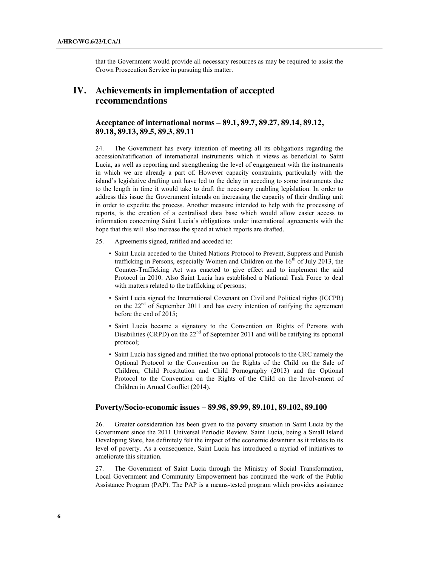that the Government would provide all necessary resources as may be required to assist the Crown Prosecution Service in pursuing this matter.

# **IV. Achievements in implementation of accepted recommendations**

### **Acceptance of international norms – 89.1, 89.7, 89.27, 89.14, 89.12, 89.18, 89.13, 89.5, 89.3, 89.11**

24. The Government has every intention of meeting all its obligations regarding the accession/ratification of international instruments which it views as beneficial to Saint Lucia, as well as reporting and strengthening the level of engagement with the instruments in which we are already a part of. However capacity constraints, particularly with the island's legislative drafting unit have led to the delay in acceding to some instruments due to the length in time it would take to draft the necessary enabling legislation. In order to address this issue the Government intends on increasing the capacity of their drafting unit in order to expedite the process. Another measure intended to help with the processing of reports, is the creation of a centralised data base which would allow easier access to information concerning Saint Lucia's obligations under international agreements with the hope that this will also increase the speed at which reports are drafted.

- 25. Agreements signed, ratified and acceded to:
	- Saint Lucia acceded to the United Nations Protocol to Prevent, Suppress and Punish trafficking in Persons, especially Women and Children on the  $16<sup>th</sup>$  of July 2013, the Counter-Trafficking Act was enacted to give effect and to implement the said Protocol in 2010. Also Saint Lucia has established a National Task Force to deal with matters related to the trafficking of persons;
	- Saint Lucia signed the International Covenant on Civil and Political rights (ICCPR) on the 22<sup>nd</sup> of September 2011 and has every intention of ratifying the agreement before the end of 2015;
	- Saint Lucia became a signatory to the Convention on Rights of Persons with Disabilities (CRPD) on the  $22<sup>nd</sup>$  of September 2011 and will be ratifying its optional protocol;
	- Saint Lucia has signed and ratified the two optional protocols to the CRC namely the Optional Protocol to the Convention on the Rights of the Child on the Sale of Children, Child Prostitution and Child Pornography (2013) and the Optional Protocol to the Convention on the Rights of the Child on the Involvement of Children in Armed Conflict (2014).

#### **Poverty/Socio-economic issues – 89.98, 89.99, 89.101, 89.102, 89.100**

26. Greater consideration has been given to the poverty situation in Saint Lucia by the Government since the 2011 Universal Periodic Review. Saint Lucia, being a Small Island Developing State, has definitely felt the impact of the economic downturn as it relates to its level of poverty. As a consequence, Saint Lucia has introduced a myriad of initiatives to ameliorate this situation.

27. The Government of Saint Lucia through the Ministry of Social Transformation, Local Government and Community Empowerment has continued the work of the Public Assistance Program (PAP). The PAP is a means-tested program which provides assistance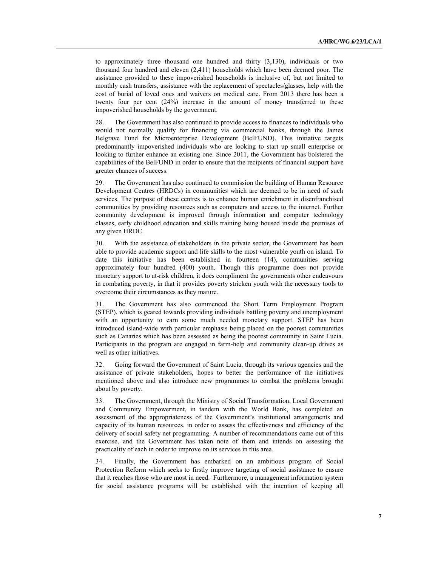to approximately three thousand one hundred and thirty (3,130), individuals or two thousand four hundred and eleven (2,411) households which have been deemed poor. The assistance provided to these impoverished households is inclusive of, but not limited to monthly cash transfers, assistance with the replacement of spectacles/glasses, help with the cost of burial of loved ones and waivers on medical care. From 2013 there has been a twenty four per cent (24%) increase in the amount of money transferred to these impoverished households by the government.

28. The Government has also continued to provide access to finances to individuals who would not normally qualify for financing via commercial banks, through the James Belgrave Fund for Microenterprise Development (BelFUND). This initiative targets predominantly impoverished individuals who are looking to start up small enterprise or looking to further enhance an existing one. Since 2011, the Government has bolstered the capabilities of the BelFUND in order to ensure that the recipients of financial support have greater chances of success.

29. The Government has also continued to commission the building of Human Resource Development Centres (HRDCs) in communities which are deemed to be in need of such services. The purpose of these centres is to enhance human enrichment in disenfranchised communities by providing resources such as computers and access to the internet. Further community development is improved through information and computer technology classes, early childhood education and skills training being housed inside the premises of any given HRDC.

30. With the assistance of stakeholders in the private sector, the Government has been able to provide academic support and life skills to the most vulnerable youth on island. To date this initiative has been established in fourteen (14), communities serving approximately four hundred (400) youth. Though this programme does not provide monetary support to at-risk children, it does compliment the governments other endeavours in combating poverty, in that it provides poverty stricken youth with the necessary tools to overcome their circumstances as they mature.

31. The Government has also commenced the Short Term Employment Program (STEP), which is geared towards providing individuals battling poverty and unemployment with an opportunity to earn some much needed monetary support. STEP has been introduced island-wide with particular emphasis being placed on the poorest communities such as Canaries which has been assessed as being the poorest community in Saint Lucia. Participants in the program are engaged in farm-help and community clean-up drives as well as other initiatives.

32. Going forward the Government of Saint Lucia, through its various agencies and the assistance of private stakeholders, hopes to better the performance of the initiatives mentioned above and also introduce new programmes to combat the problems brought about by poverty.

33. The Government, through the Ministry of Social Transformation, Local Government and Community Empowerment, in tandem with the World Bank, has completed an assessment of the appropriateness of the Government's institutional arrangements and capacity of its human resources, in order to assess the effectiveness and efficiency of the delivery of social safety net programming. A number of recommendations came out of this exercise, and the Government has taken note of them and intends on assessing the practicality of each in order to improve on its services in this area.

34. Finally, the Government has embarked on an ambitious program of Social Protection Reform which seeks to firstly improve targeting of social assistance to ensure that it reaches those who are most in need. Furthermore, a management information system for social assistance programs will be established with the intention of keeping all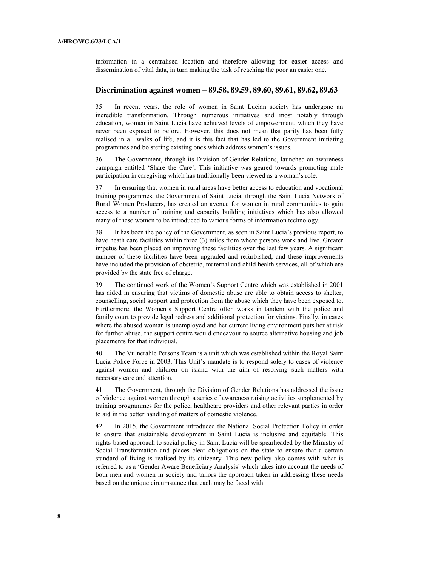information in a centralised location and therefore allowing for easier access and dissemination of vital data, in turn making the task of reaching the poor an easier one.

#### **Discrimination against women – 89.58, 89.59, 89.60, 89.61, 89.62, 89.63**

35. In recent years, the role of women in Saint Lucian society has undergone an incredible transformation. Through numerous initiatives and most notably through education, women in Saint Lucia have achieved levels of empowerment, which they have never been exposed to before. However, this does not mean that parity has been fully realised in all walks of life, and it is this fact that has led to the Government initiating programmes and bolstering existing ones which address women's issues.

36. The Government, through its Division of Gender Relations, launched an awareness campaign entitled 'Share the Care'. This initiative was geared towards promoting male participation in caregiving which has traditionally been viewed as a woman's role.

37. In ensuring that women in rural areas have better access to education and vocational training programmes, the Government of Saint Lucia, through the Saint Lucia Network of Rural Women Producers, has created an avenue for women in rural communities to gain access to a number of training and capacity building initiatives which has also allowed many of these women to be introduced to various forms of information technology.

38. It has been the policy of the Government, as seen in Saint Lucia's previous report, to have heath care facilities within three (3) miles from where persons work and live. Greater impetus has been placed on improving these facilities over the last few years. A significant number of these facilities have been upgraded and refurbished, and these improvements have included the provision of obstetric, maternal and child health services, all of which are provided by the state free of charge.

39. The continued work of the Women's Support Centre which was established in 2001 has aided in ensuring that victims of domestic abuse are able to obtain access to shelter, counselling, social support and protection from the abuse which they have been exposed to. Furthermore, the Women's Support Centre often works in tandem with the police and family court to provide legal redress and additional protection for victims. Finally, in cases where the abused woman is unemployed and her current living environment puts her at risk for further abuse, the support centre would endeavour to source alternative housing and job placements for that individual.

40. The Vulnerable Persons Team is a unit which was established within the Royal Saint Lucia Police Force in 2003. This Unit's mandate is to respond solely to cases of violence against women and children on island with the aim of resolving such matters with necessary care and attention.

41. The Government, through the Division of Gender Relations has addressed the issue of violence against women through a series of awareness raising activities supplemented by training programmes for the police, healthcare providers and other relevant parties in order to aid in the better handling of matters of domestic violence.

42. In 2015, the Government introduced the National Social Protection Policy in order to ensure that sustainable development in Saint Lucia is inclusive and equitable. This rights-based approach to social policy in Saint Lucia will be spearheaded by the Ministry of Social Transformation and places clear obligations on the state to ensure that a certain standard of living is realised by its citizenry. This new policy also comes with what is referred to as a 'Gender Aware Beneficiary Analysis' which takes into account the needs of both men and women in society and tailors the approach taken in addressing these needs based on the unique circumstance that each may be faced with.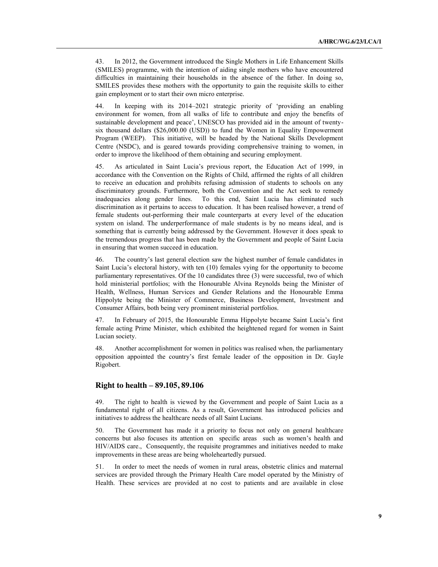43. In 2012, the Government introduced the Single Mothers in Life Enhancement Skills (SMILES) programme, with the intention of aiding single mothers who have encountered difficulties in maintaining their households in the absence of the father. In doing so, SMILES provides these mothers with the opportunity to gain the requisite skills to either gain employment or to start their own micro enterprise.

44. In keeping with its 2014–2021 strategic priority of 'providing an enabling environment for women, from all walks of life to contribute and enjoy the benefits of sustainable development and peace', UNESCO has provided aid in the amount of twentysix thousand dollars (\$26,000.00 (USD)) to fund the Women in Equality Empowerment Program (WEEP). This initiative, will be headed by the National Skills Development Centre (NSDC), and is geared towards providing comprehensive training to women, in order to improve the likelihood of them obtaining and securing employment.

45. As articulated in Saint Lucia's previous report, the Education Act of 1999, in accordance with the Convention on the Rights of Child, affirmed the rights of all children to receive an education and prohibits refusing admission of students to schools on any discriminatory grounds. Furthermore, both the Convention and the Act seek to remedy inadequacies along gender lines. To this end, Saint Lucia has eliminated such discrimination as it pertains to access to education. It has been realised however, a trend of female students out-performing their male counterparts at every level of the education system on island. The underperformance of male students is by no means ideal, and is something that is currently being addressed by the Government. However it does speak to the tremendous progress that has been made by the Government and people of Saint Lucia in ensuring that women succeed in education.

46. The country's last general election saw the highest number of female candidates in Saint Lucia's electoral history, with ten (10) females vying for the opportunity to become parliamentary representatives. Of the 10 candidates three (3) were successful, two of which hold ministerial portfolios; with the Honourable Alvina Reynolds being the Minister of Health, Wellness, Human Services and Gender Relations and the Honourable Emma Hippolyte being the Minister of Commerce, Business Development, Investment and Consumer Affairs, both being very prominent ministerial portfolios.

47. In February of 2015, the Honourable Emma Hippolyte became Saint Lucia's first female acting Prime Minister, which exhibited the heightened regard for women in Saint Lucian society.

48. Another accomplishment for women in politics was realised when, the parliamentary opposition appointed the country's first female leader of the opposition in Dr. Gayle Rigobert.

#### **Right to health – 89.105, 89.106**

49. The right to health is viewed by the Government and people of Saint Lucia as a fundamental right of all citizens. As a result, Government has introduced policies and initiatives to address the healthcare needs of all Saint Lucians.

50. The Government has made it a priority to focus not only on general healthcare concerns but also focuses its attention on specific areas such as women's health and HIV/AIDS care., Consequently, the requisite programmes and initiatives needed to make improvements in these areas are being wholeheartedly pursued.

51. In order to meet the needs of women in rural areas, obstetric clinics and maternal services are provided through the Primary Health Care model operated by the Ministry of Health. These services are provided at no cost to patients and are available in close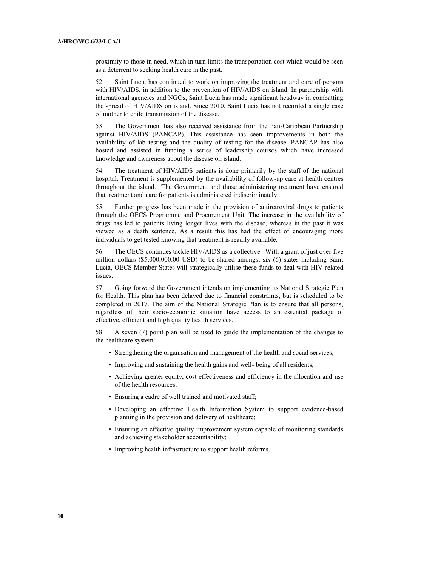proximity to those in need, which in turn limits the transportation cost which would be seen as a deterrent to seeking health care in the past.

52. Saint Lucia has continued to work on improving the treatment and care of persons with HIV/AIDS, in addition to the prevention of HIV/AIDS on island. In partnership with international agencies and NGOs, Saint Lucia has made significant headway in combatting the spread of HIV/AIDS on island. Since 2010, Saint Lucia has not recorded a single case of mother to child transmission of the disease.

53. The Government has also received assistance from the Pan-Caribbean Partnership against HIV/AIDS (PANCAP). This assistance has seen improvements in both the availability of lab testing and the quality of testing for the disease. PANCAP has also hosted and assisted in funding a series of leadership courses which have increased knowledge and awareness about the disease on island.

54. The treatment of HIV/AIDS patients is done primarily by the staff of the national hospital. Treatment is supplemented by the availability of follow-up care at health centres throughout the island. The Government and those administering treatment have ensured that treatment and care for patients is administered indiscriminately.

55. Further progress has been made in the provision of antiretroviral drugs to patients through the OECS Programme and Procurement Unit. The increase in the availability of drugs has led to patients living longer lives with the disease, whereas in the past it was viewed as a death sentence. As a result this has had the effect of encouraging more individuals to get tested knowing that treatment is readily available.

56. The OECS continues tackle HIV/AIDS as a collective. With a grant of just over five million dollars (\$5,000,000.00 USD) to be shared amongst six (6) states including Saint Lucia, OECS Member States will strategically utilise these funds to deal with HIV related issues.

57. Going forward the Government intends on implementing its National Strategic Plan for Health. This plan has been delayed due to financial constraints, but is scheduled to be completed in 2017. The aim of the National Strategic Plan is to ensure that all persons, regardless of their socio-economic situation have access to an essential package of effective, efficient and high quality health services.

58. A seven (7) point plan will be used to guide the implementation of the changes to the healthcare system:

- Strengthening the organisation and management of the health and social services;
- Improving and sustaining the health gains and well- being of all residents;
- Achieving greater equity, cost effectiveness and efficiency in the allocation and use of the health resources;
- Ensuring a cadre of well trained and motivated staff;
- Developing an effective Health Information System to support evidence-based planning in the provision and delivery of healthcare;
- Ensuring an effective quality improvement system capable of monitoring standards and achieving stakeholder accountability;
- Improving health infrastructure to support health reforms.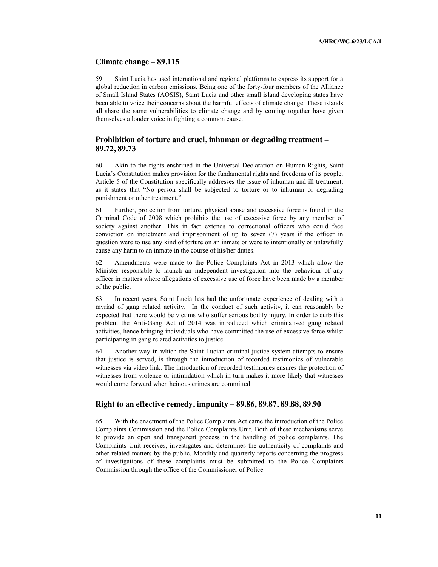#### **Climate change – 89.115**

59. Saint Lucia has used international and regional platforms to express its support for a global reduction in carbon emissions. Being one of the forty-four members of the Alliance of Small Island States (AOSIS), Saint Lucia and other small island developing states have been able to voice their concerns about the harmful effects of climate change. These islands all share the same vulnerabilities to climate change and by coming together have given themselves a louder voice in fighting a common cause.

### **Prohibition of torture and cruel, inhuman or degrading treatment – 89.72, 89.73**

60. Akin to the rights enshrined in the Universal Declaration on Human Rights, Saint Lucia's Constitution makes provision for the fundamental rights and freedoms of its people. Article 5 of the Constitution specifically addresses the issue of inhuman and ill treatment, as it states that "No person shall be subjected to torture or to inhuman or degrading punishment or other treatment."

61. Further, protection from torture, physical abuse and excessive force is found in the Criminal Code of 2008 which prohibits the use of excessive force by any member of society against another. This in fact extends to correctional officers who could face conviction on indictment and imprisonment of up to seven (7) years if the officer in question were to use any kind of torture on an inmate or were to intentionally or unlawfully cause any harm to an inmate in the course of his/her duties.

62. Amendments were made to the Police Complaints Act in 2013 which allow the Minister responsible to launch an independent investigation into the behaviour of any officer in matters where allegations of excessive use of force have been made by a member of the public.

63. In recent years, Saint Lucia has had the unfortunate experience of dealing with a myriad of gang related activity. In the conduct of such activity, it can reasonably be expected that there would be victims who suffer serious bodily injury. In order to curb this problem the Anti-Gang Act of 2014 was introduced which criminalised gang related activities, hence bringing individuals who have committed the use of excessive force whilst participating in gang related activities to justice.

64. Another way in which the Saint Lucian criminal justice system attempts to ensure that justice is served, is through the introduction of recorded testimonies of vulnerable witnesses via video link. The introduction of recorded testimonies ensures the protection of witnesses from violence or intimidation which in turn makes it more likely that witnesses would come forward when heinous crimes are committed.

#### **Right to an effective remedy, impunity – 89.86, 89.87, 89.88, 89.90**

65. With the enactment of the Police Complaints Act came the introduction of the Police Complaints Commission and the Police Complaints Unit. Both of these mechanisms serve to provide an open and transparent process in the handling of police complaints. The Complaints Unit receives, investigates and determines the authenticity of complaints and other related matters by the public. Monthly and quarterly reports concerning the progress of investigations of these complaints must be submitted to the Police Complaints Commission through the office of the Commissioner of Police.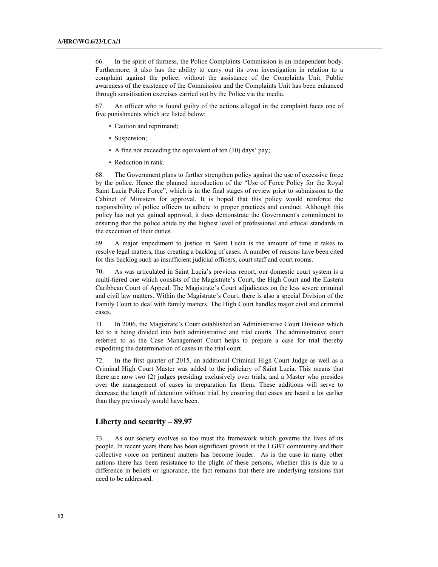66. In the spirit of fairness, the Police Complaints Commission is an independent body. Furthermore, it also has the ability to carry out its own investigation in relation to a complaint against the police, without the assistance of the Complaints Unit. Public awareness of the existence of the Commission and the Complaints Unit has been enhanced through sensitisation exercises carried out by the Police via the media.

67. An officer who is found guilty of the actions alleged in the complaint faces one of five punishments which are listed below:

- Caution and reprimand;
- Suspension;
- A fine not exceeding the equivalent of ten (10) days' pay;
- Reduction in rank.

68. The Government plans to further strengthen policy against the use of excessive force by the police. Hence the planned introduction of the "Use of Force Policy for the Royal Saint Lucia Police Force", which is in the final stages of review prior to submission to the Cabinet of Ministers for approval. It is hoped that this policy would reinforce the responsibility of police officers to adhere to proper practices and conduct. Although this policy has not yet gained approval, it does demonstrate the Government's commitment to ensuring that the police abide by the highest level of professional and ethical standards in the execution of their duties.

69. A major impediment to justice in Saint Lucia is the amount of time it takes to resolve legal matters, thus creating a backlog of cases. A number of reasons have been cited for this backlog such as insufficient judicial officers, court staff and court rooms.

70. As was articulated in Saint Lucia's previous report, our domestic court system is a multi-tiered one which consists of the Magistrate's Court, the High Court and the Eastern Caribbean Court of Appeal. The Magistrate's Court adjudicates on the less severe criminal and civil law matters. Within the Magistrate's Court, there is also a special Division of the Family Court to deal with family matters. The High Court handles major civil and criminal cases.

71. In 2006, the Magistrate's Court established an Administrative Court Division which led to it being divided into both administrative and trial courts. The administrative court referred to as the Case Management Court helps to prepare a case for trial thereby expediting the determination of cases in the trial court.

72. In the first quarter of 2015, an additional Criminal High Court Judge as well as a Criminal High Court Master was added to the judiciary of Saint Lucia. This means that there are now two (2) judges presiding exclusively over trials, and a Master who presides over the management of cases in preparation for them. These additions will serve to decrease the length of detention without trial, by ensuring that cases are heard a lot earlier than they previously would have been.

#### **Liberty and security – 89.97**

73. As our society evolves so too must the framework which governs the lives of its people. In recent years there has been significant growth in the LGBT community and their collective voice on pertinent matters has become louder. As is the case in many other nations there has been resistance to the plight of these persons, whether this is due to a difference in beliefs or ignorance, the fact remains that there are underlying tensions that need to be addressed.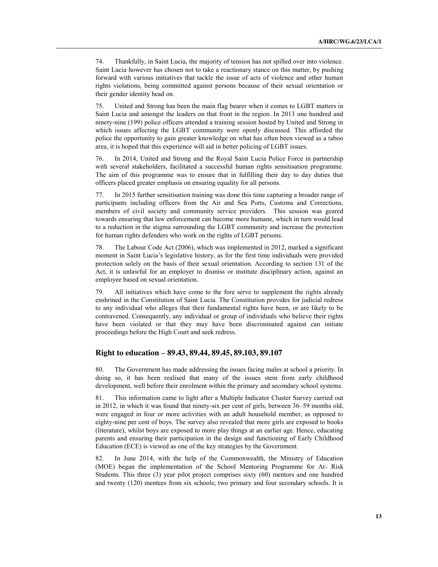74. Thankfully, in Saint Lucia, the majority of tension has not spilled over into violence. Saint Lucia however has chosen not to take a reactionary stance on this matter, by pushing forward with various initiatives that tackle the issue of acts of violence and other human rights violations, being committed against persons because of their sexual orientation or their gender identity head on.

75. United and Strong has been the main flag bearer when it comes to LGBT matters in Saint Lucia and amongst the leaders on that front in the region. In 2013 one hundred and ninety-nine (199) police officers attended a training session hosted by United and Strong in which issues affecting the LGBT community were openly discussed. This afforded the police the opportunity to gain greater knowledge on what has often been viewed as a taboo area, it is hoped that this experience will aid in better policing of LGBT issues.

76. In 2014, United and Strong and the Royal Saint Lucia Police Force in partnership with several stakeholders, facilitated a successful human rights sensitisation programme. The aim of this programme was to ensure that in fulfilling their day to day duties that officers placed greater emphasis on ensuring equality for all persons.

77. In 2015 further sensitisation training was done this time capturing a broader range of participants including officers from the Air and Sea Ports, Customs and Corrections, members of civil society and community service providers. This session was geared towards ensuring that law enforcement can become more humane, which in turn would lead to a reduction in the stigma surrounding the LGBT community and increase the protection for human rights defenders who work on the rights of LGBT persons.

78. The Labour Code Act (2006), which was implemented in 2012, marked a significant moment in Saint Lucia's legislative history, as for the first time individuals were provided protection solely on the basis of their sexual orientation. According to section 131 of the Act, it is unlawful for an employer to dismiss or institute disciplinary action, against an employee based on sexual orientation.

79. All initiatives which have come to the fore serve to supplement the rights already enshrined in the Constitution of Saint Lucia. The Constitution provides for judicial redress to any individual who alleges that their fundamental rights have been, or are likely to be contravened. Consequently, any individual or group of individuals who believe their rights have been violated or that they may have been discriminated against can initiate proceedings before the High Court and seek redress.

#### **Right to education – 89.43, 89.44, 89.45, 89.103, 89.107**

80. The Government has made addressing the issues facing males at school a priority. In doing so, it has been realised that many of the issues stem from early childhood development, well before their enrolment within the primary and secondary school systems.

81. This information came to light after a Multiple Indicator Cluster Survey carried out in 2012, in which it was found that ninety-six per cent of girls, between 36–59 months old, were engaged in four or more activities with an adult household member, as opposed to eighty-nine per cent of boys. The survey also revealed that more girls are exposed to books (literature), whilst boys are exposed to more play things at an earlier age. Hence, educating parents and ensuring their participation in the design and functioning of Early Childhood Education (ECE) is viewed as one of the key strategies by the Government.

82. In June 2014, with the help of the Commonwealth, the Ministry of Education (MOE) began the implementation of the School Mentoring Programme for At- Risk Students. This three (3) year pilot project comprises sixty (60) mentors and one hundred and twenty (120) mentees from six schools; two primary and four secondary schools. It is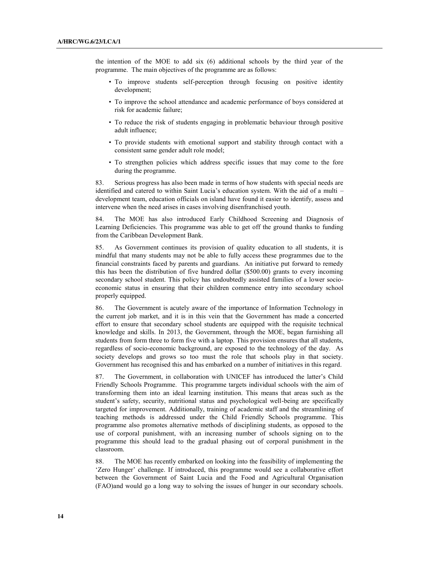the intention of the MOE to add six (6) additional schools by the third year of the programme. The main objectives of the programme are as follows:

- To improve students self-perception through focusing on positive identity development;
- To improve the school attendance and academic performance of boys considered at risk for academic failure;
- To reduce the risk of students engaging in problematic behaviour through positive adult influence;
- To provide students with emotional support and stability through contact with a consistent same gender adult role model;
- To strengthen policies which address specific issues that may come to the fore during the programme.

83. Serious progress has also been made in terms of how students with special needs are identified and catered to within Saint Lucia's education system. With the aid of a multi – development team, education officials on island have found it easier to identify, assess and intervene when the need arises in cases involving disenfranchised youth.

84. The MOE has also introduced Early Childhood Screening and Diagnosis of Learning Deficiencies. This programme was able to get off the ground thanks to funding from the Caribbean Development Bank.

85. As Government continues its provision of quality education to all students, it is mindful that many students may not be able to fully access these programmes due to the financial constraints faced by parents and guardians. An initiative put forward to remedy this has been the distribution of five hundred dollar (\$500.00) grants to every incoming secondary school student. This policy has undoubtedly assisted families of a lower socioeconomic status in ensuring that their children commence entry into secondary school properly equipped.

86. The Government is acutely aware of the importance of Information Technology in the current job market, and it is in this vein that the Government has made a concerted effort to ensure that secondary school students are equipped with the requisite technical knowledge and skills. In 2013, the Government, through the MOE, began furnishing all students from form three to form five with a laptop. This provision ensures that all students, regardless of socio-economic background, are exposed to the technology of the day. As society develops and grows so too must the role that schools play in that society. Government has recognised this and has embarked on a number of initiatives in this regard.

87. The Government, in collaboration with UNICEF has introduced the latter's Child Friendly Schools Programme. This programme targets individual schools with the aim of transforming them into an ideal learning institution. This means that areas such as the student's safety, security, nutritional status and psychological well-being are specifically targeted for improvement. Additionally, training of academic staff and the streamlining of teaching methods is addressed under the Child Friendly Schools programme. This programme also promotes alternative methods of disciplining students, as opposed to the use of corporal punishment, with an increasing number of schools signing on to the programme this should lead to the gradual phasing out of corporal punishment in the classroom.

88. The MOE has recently embarked on looking into the feasibility of implementing the 'Zero Hunger' challenge. If introduced, this programme would see a collaborative effort between the Government of Saint Lucia and the Food and Agricultural Organisation (FAO)and would go a long way to solving the issues of hunger in our secondary schools.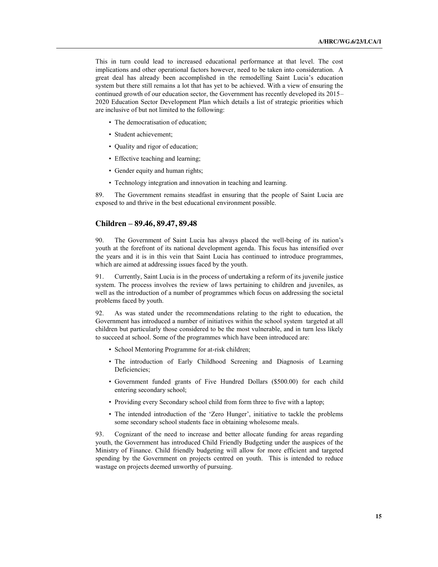This in turn could lead to increased educational performance at that level. The cost implications and other operational factors however, need to be taken into consideration. A great deal has already been accomplished in the remodelling Saint Lucia's education system but there still remains a lot that has yet to be achieved. With a view of ensuring the continued growth of our education sector, the Government has recently developed its 2015– 2020 Education Sector Development Plan which details a list of strategic priorities which are inclusive of but not limited to the following:

- The democratisation of education;
- Student achievement;
- Quality and rigor of education;
- Effective teaching and learning;
- Gender equity and human rights;
- Technology integration and innovation in teaching and learning.

89. The Government remains steadfast in ensuring that the people of Saint Lucia are exposed to and thrive in the best educational environment possible.

#### **Children – 89.46, 89.47, 89.48**

90. The Government of Saint Lucia has always placed the well-being of its nation's youth at the forefront of its national development agenda. This focus has intensified over the years and it is in this vein that Saint Lucia has continued to introduce programmes, which are aimed at addressing issues faced by the youth.

91. Currently, Saint Lucia is in the process of undertaking a reform of its juvenile justice system. The process involves the review of laws pertaining to children and juveniles, as well as the introduction of a number of programmes which focus on addressing the societal problems faced by youth.

92. As was stated under the recommendations relating to the right to education, the Government has introduced a number of initiatives within the school system targeted at all children but particularly those considered to be the most vulnerable, and in turn less likely to succeed at school. Some of the programmes which have been introduced are:

- School Mentoring Programme for at-risk children;
- The introduction of Early Childhood Screening and Diagnosis of Learning Deficiencies;
- Government funded grants of Five Hundred Dollars (\$500.00) for each child entering secondary school;
- Providing every Secondary school child from form three to five with a laptop;
- The intended introduction of the 'Zero Hunger', initiative to tackle the problems some secondary school students face in obtaining wholesome meals.

93. Cognizant of the need to increase and better allocate funding for areas regarding youth, the Government has introduced Child Friendly Budgeting under the auspices of the Ministry of Finance. Child friendly budgeting will allow for more efficient and targeted spending by the Government on projects centred on youth. This is intended to reduce wastage on projects deemed unworthy of pursuing.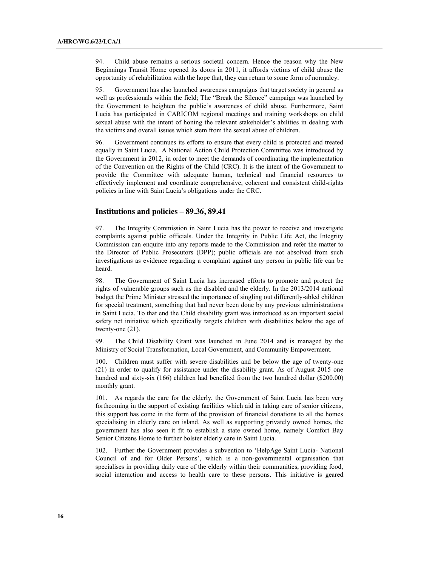94. Child abuse remains a serious societal concern. Hence the reason why the New Beginnings Transit Home opened its doors in 2011, it affords victims of child abuse the opportunity of rehabilitation with the hope that, they can return to some form of normalcy.

95. Government has also launched awareness campaigns that target society in general as well as professionals within the field; The "Break the Silence" campaign was launched by the Government to heighten the public's awareness of child abuse. Furthermore, Saint Lucia has participated in CARICOM regional meetings and training workshops on child sexual abuse with the intent of honing the relevant stakeholder's abilities in dealing with the victims and overall issues which stem from the sexual abuse of children.

96. Government continues its efforts to ensure that every child is protected and treated equally in Saint Lucia. A National Action Child Protection Committee was introduced by the Government in 2012, in order to meet the demands of coordinating the implementation of the Convention on the Rights of the Child (CRC). It is the intent of the Government to provide the Committee with adequate human, technical and financial resources to effectively implement and coordinate comprehensive, coherent and consistent child-rights policies in line with Saint Lucia's obligations under the CRC.

#### **Institutions and policies – 89.36, 89.41**

97. The Integrity Commission in Saint Lucia has the power to receive and investigate complaints against public officials. Under the Integrity in Public Life Act, the Integrity Commission can enquire into any reports made to the Commission and refer the matter to the Director of Public Prosecutors (DPP); public officials are not absolved from such investigations as evidence regarding a complaint against any person in public life can be heard.

98. The Government of Saint Lucia has increased efforts to promote and protect the rights of vulnerable groups such as the disabled and the elderly. In the 2013/2014 national budget the Prime Minister stressed the importance of singling out differently-abled children for special treatment, something that had never been done by any previous administrations in Saint Lucia. To that end the Child disability grant was introduced as an important social safety net initiative which specifically targets children with disabilities below the age of twenty-one (21).

99. The Child Disability Grant was launched in June 2014 and is managed by the Ministry of Social Transformation, Local Government, and Community Empowerment.

100. Children must suffer with severe disabilities and be below the age of twenty-one (21) in order to qualify for assistance under the disability grant. As of August 2015 one hundred and sixty-six (166) children had benefited from the two hundred dollar (\$200.00) monthly grant.

101. As regards the care for the elderly, the Government of Saint Lucia has been very forthcoming in the support of existing facilities which aid in taking care of senior citizens, this support has come in the form of the provision of financial donations to all the homes specialising in elderly care on island. As well as supporting privately owned homes, the government has also seen it fit to establish a state owned home, namely Comfort Bay Senior Citizens Home to further bolster elderly care in Saint Lucia.

102. Further the Government provides a subvention to 'HelpAge Saint Lucia- National Council of and for Older Persons', which is a non-governmental organisation that specialises in providing daily care of the elderly within their communities, providing food, social interaction and access to health care to these persons. This initiative is geared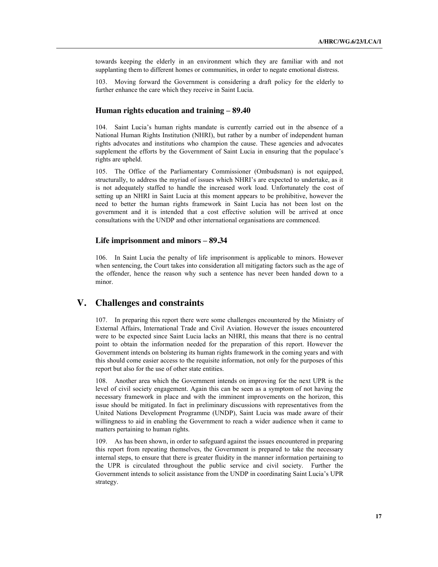towards keeping the elderly in an environment which they are familiar with and not supplanting them to different homes or communities, in order to negate emotional distress.

103. Moving forward the Government is considering a draft policy for the elderly to further enhance the care which they receive in Saint Lucia.

### **Human rights education and training – 89.40**

104. Saint Lucia's human rights mandate is currently carried out in the absence of a National Human Rights Institution (NHRI), but rather by a number of independent human rights advocates and institutions who champion the cause. These agencies and advocates supplement the efforts by the Government of Saint Lucia in ensuring that the populace's rights are upheld.

105. The Office of the Parliamentary Commissioner (Ombudsman) is not equipped, structurally, to address the myriad of issues which NHRI's are expected to undertake, as it is not adequately staffed to handle the increased work load. Unfortunately the cost of setting up an NHRI in Saint Lucia at this moment appears to be prohibitive, however the need to better the human rights framework in Saint Lucia has not been lost on the government and it is intended that a cost effective solution will be arrived at once consultations with the UNDP and other international organisations are commenced.

### **Life imprisonment and minors – 89.34**

106. In Saint Lucia the penalty of life imprisonment is applicable to minors. However when sentencing, the Court takes into consideration all mitigating factors such as the age of the offender, hence the reason why such a sentence has never been handed down to a minor.

# **V. Challenges and constraints**

107. In preparing this report there were some challenges encountered by the Ministry of External Affairs, International Trade and Civil Aviation. However the issues encountered were to be expected since Saint Lucia lacks an NHRI, this means that there is no central point to obtain the information needed for the preparation of this report. However the Government intends on bolstering its human rights framework in the coming years and with this should come easier access to the requisite information, not only for the purposes of this report but also for the use of other state entities.

108. Another area which the Government intends on improving for the next UPR is the level of civil society engagement. Again this can be seen as a symptom of not having the necessary framework in place and with the imminent improvements on the horizon, this issue should be mitigated. In fact in preliminary discussions with representatives from the United Nations Development Programme (UNDP), Saint Lucia was made aware of their willingness to aid in enabling the Government to reach a wider audience when it came to matters pertaining to human rights.

109. As has been shown, in order to safeguard against the issues encountered in preparing this report from repeating themselves, the Government is prepared to take the necessary internal steps, to ensure that there is greater fluidity in the manner information pertaining to the UPR is circulated throughout the public service and civil society. Further the Government intends to solicit assistance from the UNDP in coordinating Saint Lucia's UPR strategy.